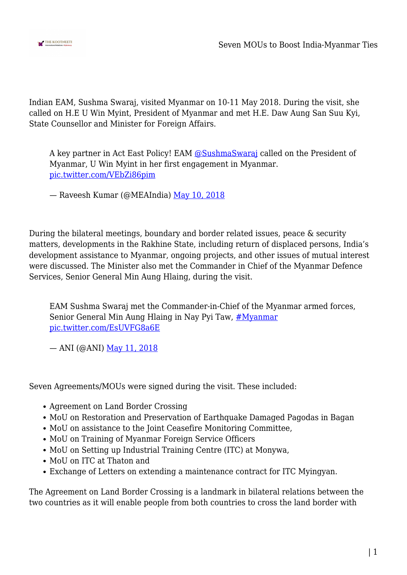

Indian EAM, Sushma Swaraj, visited Myanmar on 10-11 May 2018. During the visit, she called on H.E U Win Myint, President of Myanmar and met H.E. Daw Aung San Suu Kyi, State Counsellor and Minister for Foreign Affairs.

A key partner in Act East Policy! EAM [@SushmaSwaraj](https://twitter.com/SushmaSwaraj?ref_src=twsrc%5Etfw) called on the President of Myanmar, U Win Myint in her first engagement in Myanmar. [pic.twitter.com/VEbZi86pim](https://t.co/VEbZi86pim)

— Raveesh Kumar (@MEAIndia) [May 10, 2018](https://twitter.com/MEAIndia/status/994598688197566464?ref_src=twsrc%5Etfw)

During the bilateral meetings, boundary and border related issues, peace & security matters, developments in the Rakhine State, including return of displaced persons, India's development assistance to Myanmar, ongoing projects, and other issues of mutual interest were discussed. The Minister also met the Commander in Chief of the Myanmar Defence Services, Senior General Min Aung Hlaing, during the visit.

EAM Sushma Swaraj met the Commander-in-Chief of the Myanmar armed forces, Senior General Min Aung Hlaing in Nay Pyi Taw, *[#Myanmar](https://twitter.com/hashtag/Myanmar?src=hash&ref_src=twsrc%5Etfw)* [pic.twitter.com/EsUVFG8a6E](https://t.co/EsUVFG8a6E)

— ANI (@ANI) [May 11, 2018](https://twitter.com/ANI/status/994828564246749185?ref_src=twsrc%5Etfw)

Seven Agreements/MOUs were signed during the visit. These included:

- Agreement on Land Border Crossing
- MoU on Restoration and Preservation of Earthquake Damaged Pagodas in Bagan
- MoU on assistance to the Joint Ceasefire Monitoring Committee,
- MoU on Training of Myanmar Foreign Service Officers
- MoU on Setting up Industrial Training Centre (ITC) at Monywa,
- MoU on ITC at Thaton and
- Exchange of Letters on extending a maintenance contract for ITC Myingyan.

The Agreement on Land Border Crossing is a landmark in bilateral relations between the two countries as it will enable people from both countries to cross the land border with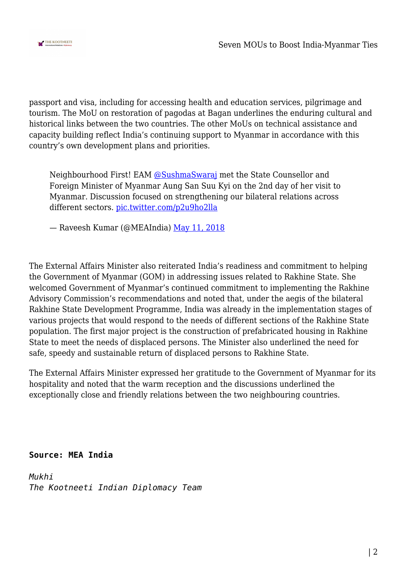

passport and visa, including for accessing health and education services, pilgrimage and tourism. The MoU on restoration of pagodas at Bagan underlines the enduring cultural and historical links between the two countries. The other MoUs on technical assistance and capacity building reflect India's continuing support to Myanmar in accordance with this country's own development plans and priorities.

Neighbourhood First! EAM [@SushmaSwaraj](https://twitter.com/SushmaSwaraj?ref_src=twsrc%5Etfw) met the State Counsellor and Foreign Minister of Myanmar Aung San Suu Kyi on the 2nd day of her visit to Myanmar. Discussion focused on strengthening our bilateral relations across different sectors. [pic.twitter.com/p2u9ho2lla](https://t.co/p2u9ho2lla)

— Raveesh Kumar (@MEAIndia) [May 11, 2018](https://twitter.com/MEAIndia/status/994850338585890816?ref_src=twsrc%5Etfw)

The External Affairs Minister also reiterated India's readiness and commitment to helping the Government of Myanmar (GOM) in addressing issues related to Rakhine State. She welcomed Government of Myanmar's continued commitment to implementing the Rakhine Advisory Commission's recommendations and noted that, under the aegis of the bilateral Rakhine State Development Programme, India was already in the implementation stages of various projects that would respond to the needs of different sections of the Rakhine State population. The first major project is the construction of prefabricated housing in Rakhine State to meet the needs of displaced persons. The Minister also underlined the need for safe, speedy and sustainable return of displaced persons to Rakhine State.

The External Affairs Minister expressed her gratitude to the Government of Myanmar for its hospitality and noted that the warm reception and the discussions underlined the exceptionally close and friendly relations between the two neighbouring countries.

**Source: MEA India**

*Mukhi The Kootneeti Indian Diplomacy Team*